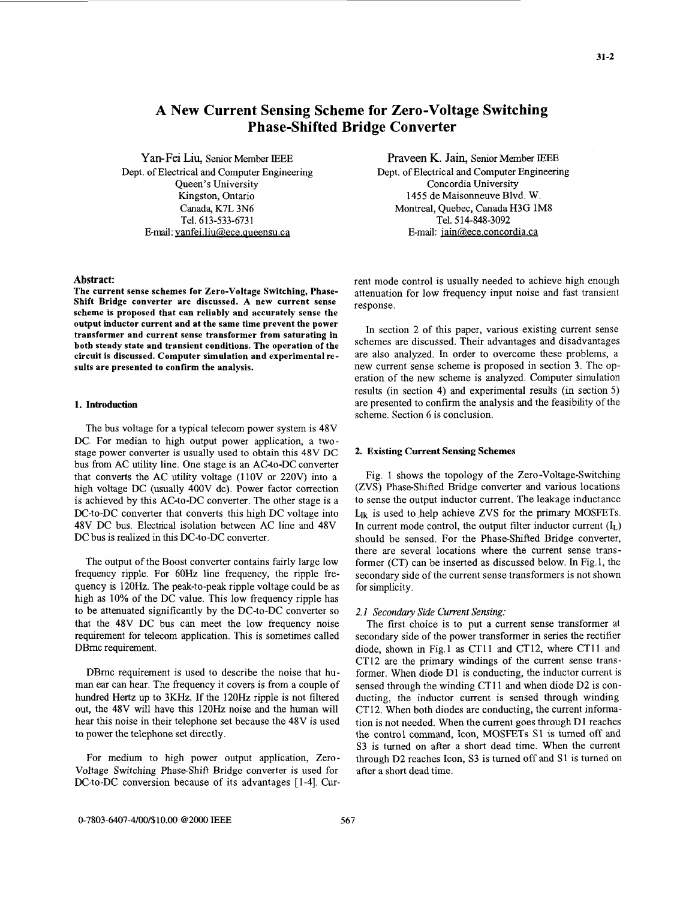# **A New Current Sensing Scheme for Zero-Voltage Switching Phase-Shifted Bridge Converter**

Yan-Fei Liu, Senior Member IEEE Dept. of Electrical and Computer Engineering Kingston, Ontario Canada, K7L 3N6 Tel. **6** 13-533-673 1 Ermail: **vanfei.liu@,ece.aueensu.ca** 

# **Abstract:**

**The Current Sense schemes for Zero-Voltage Switching, Phase-Shift Bridge converter are discussed. A new current sense scheme is proposed that can reliably and accurately sense the output inductor current and at the same time prevent the power transformer and current sense transformer from saturating in**  both steady state and transient conditions. The operation of the **circuit is discussed. Computer simulation and experimental results are presented to confirm the analysis.** 

# **1. Introduction**

The bus voltage for a typical telecom power system is 48V DC. For median to high output power application, a twostage power converter is usually used to obtain this 48V DC bus from AC utility line. One stage is **an** AC-to-DC converter that converts the AC utility voltage (11OV or 220V) into a high voltage DC (usually 400V dc). Power factor correction is achieved by this AC-to-DC converter. The other stage is a DC-to-DC converter that converts this high DC voltage into 48V DC bus. Electrical isolation between AC line and 48V DC bus is realized in this DC-to-DC converter.

The output of the Boost converter contains fairly large low frequency ripple. For 6OHz line frequency, the ripple frequency is 120Hz. The peak-to-peak ripple voltage could be as high as 10% of the DC value. This low frequency ripple has to be attenuated significantly by the DC-to-DC converter so that the 48V DC bus can meet the low frequency noise requirement for telecom application. This is sometimes called DBmc requirement.

DBrnc requirement is used to describe the noise that human ear can hear. The frequency it covers is from a couple of hundred Hertz up to 3KHz. If the 120Hz ripple is not filtered out, the 48V will have this 120Hz noise and the human will hear this noise in their telephone set because the 48V is used to power the telephone set directly.

For medium to high power output application, Zero-Voltage Switching Phase-Shift Bridge converter is used for DC-to-DC conversion because of its advantages [1-4]. Cur-

Queen's University Concordia University Praveen K. Jain, Senior Member IEEE Dept. of Electrical and Computer Engineering 1455 de Maisonneuve Blvd. W. Montreal, Quebec, Canada H3G 1M8 Tel. 5 14-848-3092 E-mail: jain@ece.concordia.ca

> rent mode control is usually needed to achieve high enough attenuation for low frequency input noise and fast transient response.

> In section 2 of this paper, various existing current sense schemes are discussed. Their advantages and disadvantages are also analyzed. In order to overcome these problems, a new current sense scheme is proposed in section **3.** The operation of the new scheme is analyzed. Computer simulation results (in section 4) and experimental results (in section 5) are presented to confirm the analysis and the feasibility of the scheme. Section 6 is conclusion.

## **2. Existing Current Sensing Schemes**

Fig. 1 shows the topology of the Zero-Voltage-Switching (ZVS) Phase-Shifted Bridge converter and various locations to sense the output inductor current. The leakage inductance  $L_{ik}$  is used to help achieve ZVS for the primary MOSFETs. In current mode control, the output filter inductor current  $(I_L)$ should be sensed. For the Phase-Shifted Bridge converter, there are several locations where the current sense transformer (CT) can be inserted as discussed below. In Fig.1, the secondary side of the current sense transformers is not shown for simplicity.

#### *2.1 Secondav Side Current Sensing:*

The first choice is to put a current sense transformer at secondary side of the power transformer in series the rectifier diode, shown in Fig.1 as CT11 and CT12, where CT11 and CT12 are the primary windings of the current sense transformer. When diode D1 is conducting, the inductor current is sensed through the winding CTll and when diode D2 is conducting, the inductor current is sensed through winding CT12. When both diodes are conducting, the current information is not needed. When the current goes through D1 reaches the control command, Icon, MOSFETs S1 is tumed off and S3 is turned on after a short dead time. When the current through D2 reaches Icon, S3 is turned off and S1 is turned on after a short dead time.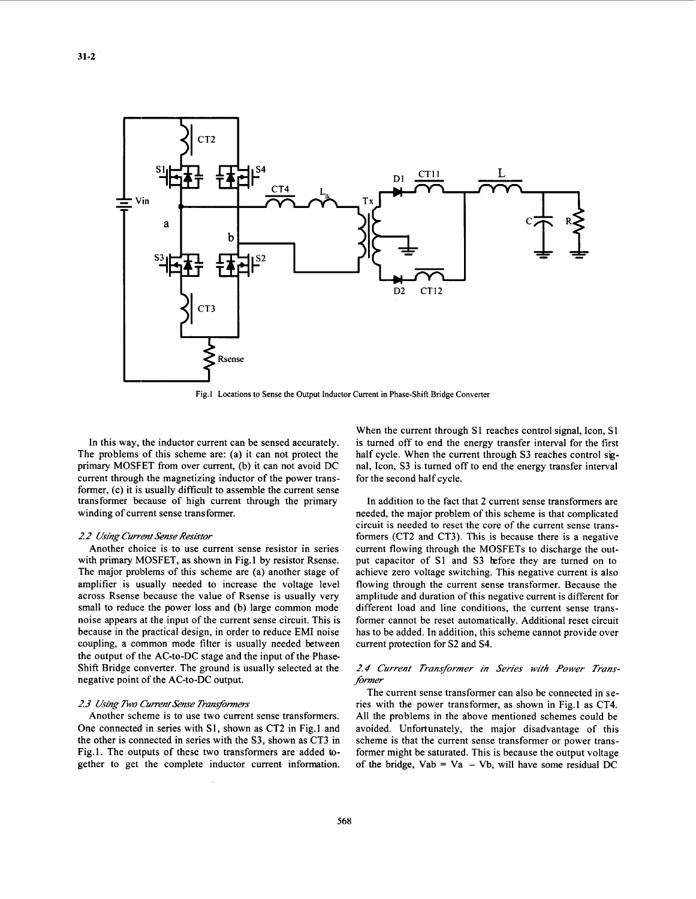

**Fig.1 Locations to Sense the Output Inductor Current in Phase-Shift Bridge Converter** 

In this way, the inductor current can be sensed accurately. The problems of this scheme are: (a) it can not protect the primary MOSFET from over current, (b) it can not avoid DC current through the magnetizing inductor of the power transformer, (c) it is usually difficult to assemble the current sense transformer because of high current through the primary winding of current sense transformer.

## *2 2 Using Current Sense Resistor*

Another choice is to use current sense resistor in series with primary MOSFET, as shown in Fig. 1 by resistor Rsense. The major problems of this scheme are (a) another stage of amplifier is usually needed to increase the voltage level across Rsense because the value of Rsense is usually very small to reduce the power loss and (b) large common mode noise appears at the input of the current sense circuit. This is because in the practical design, in order to reduce EM1 noise coupling, a common mode filter is usually needed between the output of the AC-to-DC stage and the input of the Phase Shift Bridge converter. The ground is usually selected at the negative point of the AC-to-DC output.

## *2* **3** *Using Two Current Sense Tramfomers*

Another scheme is to use two current sense transformers. One connected in series with S1, shown as CT2 in Fig.1 and the other is connected in series with the S3, shown as CT3 in Fig.1. The outputs of these two transformers are added **to**gether to get the complete inductor current information.

When the current through S1 reaches control signal, Icon, S1 is turned off to end the energy transfer interval for the first half cycle. When the current through S3 reaches control *sig*nal, Icon, S3 is turned off to end the energy transfer interval for the second half cycle.

In addition to the fact that 2 current sense transformers are needed, the major problem of this scheme is that complicated circuit is needed to reset the core of the current sense transformers (CT2 and CT3). This is because there is a negative current flowing through the MOSFETs to discharge the output capacitor of S1 and S3 before they are turned on to achieve zero voltage switching. This negative current is also flowing through the current sense transformer. Because the amplitude and duration of this negative current is different for different load and line conditions, the current sense transformer cannot be reset automatically. Additional reset circuit has to be added. In addition, this scheme cannot provide over current protection for S2 and S4.

# *2.4 Current Transformer in Series with Power Transfomer*

The current sense transformer can also be connected in series with the power transformer, as shown in Fig.1 as CT4. All the problems in the above mentioned schemes could be avoided. Unfortunately, the major disadvantage of this scheme is that the current sense transformer or power transformer might be saturated. This is because the output voltage of the bridge,  $Vab = Va - Vb$ , will have some residual DC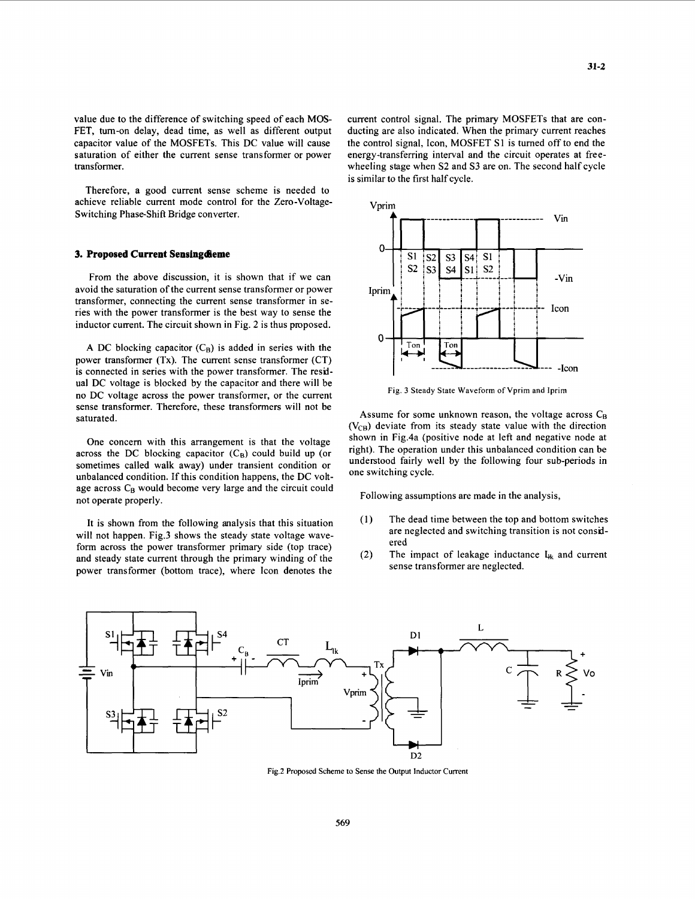value due to the difference of switching speed of each MOS-FET, tum-on delay, dead time, as well as different output capacitor value of the MOSFETs. This DC value will cause saturation of either the current sense transformer or power transformer.

Therefore, a good current sense scheme is needed to achieve reliable current mode control for the Zero-Voltage-Switching Phase-Shift Bridge converter.

#### **3. Proposed Current Sensingdieme**

From the above discussion, it is shown that if we can avoid the saturation of the current sense transformer or power transformer, connecting the current sense transformer in series with the power transformer is the best way to sense the inductor current. The circuit shown in Fig. *2* is thus pmposed.

A DC blocking capacitor  $(C_B)$  is added in series with the power transformer **(Tx).** The current sense transformer (CT) is connected in series with the power transformer. The residual DC voltage is blocked by the capacitor and there will be no DC voltage across the power transformer, or the current sense transformer. Therefore, these transformers will not be saturated.

One concern with this arrangement is that the voltage across the DC blocking capacitor  $(C_B)$  could build up (or sometimes called walk away) under transient condition or unbalanced condition. If this condition happens, the DC voltage across  $C_B$  would become very large and the circuit could not operate properly.

It is shown from the following analysis that this situation will not happen. Fig.3 shows the steady state voltage waveform across the power transformer primary side (top trace) and steady state current through the primary winding of the power transformer (bottom trace), where Icon denotes the current control signal. The primary MOSFETs that are conducting are also indicated. When the primary current reaches the control signal, Icon, MOSFET S1 is turned off to end the energy-transferring interval and the circuit operates at freewheeling stage when **S2** and **S3** are on. The second half cycle is similar to the first half cycle.



**Fig. 3 Steady State Waveform of Vprim and Iprim** 

Assume for some unknown reason, the voltage across  $C_B$  $(V_{CB})$  deviate from its steady state value with the direction shown in Fig.4a (positive node at left and negative node at right). The operation under this unbalanced condition can be understood fairly well by the following four sub-periods in one switching cycle.

Following assumptions are made in the analysis,

- (1) The dead time between the top and bottom switches are neglected and switching transition is not considered
- The impact of leakage inductance  $I_{ik}$  and current sense transformer are neglected. *(2)*



**Fig.2 Proposed Scheme to Sense the Output Inductor Current**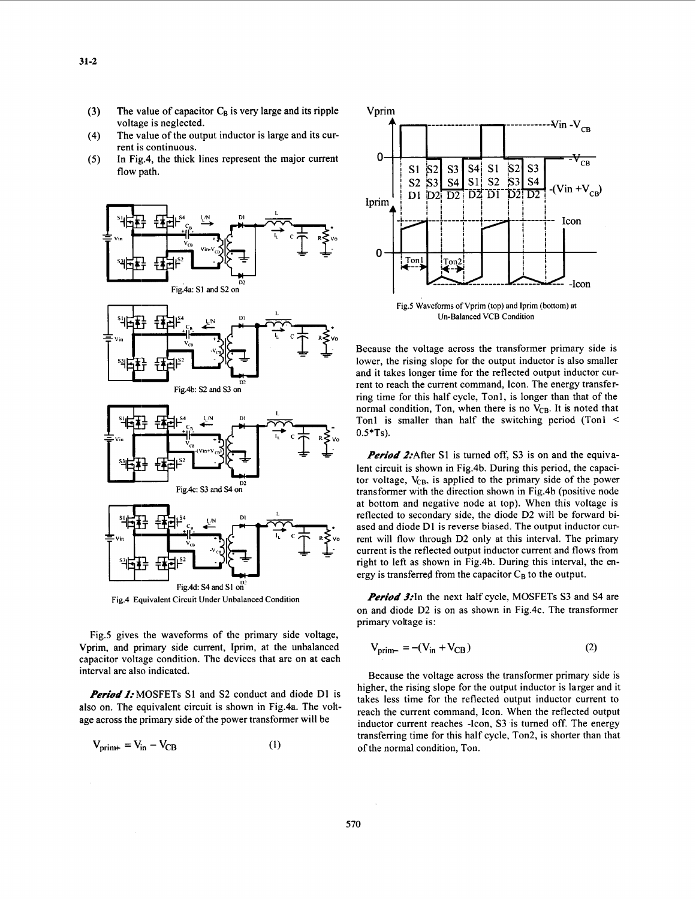- **(3)**  The value of capacitor  $C_B$  is very large and its ripple voltage is neglected.
- (4) The value of the output inductor is large and its current is continuous.
- (5) In Fig.4, the thick lines represent the major current flow path.



**Fig.4 Equivalent Circuit Under Unbalanced Condition** 

Fig.5 gives the waveforms of the primary side voltage, Vprim, and primary side current, Iprim, at the unbalanced capacitor voltage condition. The devices that are on at each interval are also indicated.

*Period 1:* **MOSFETs S1 and S2 conduct and diode D1 is** also on. The equivalent circuit is shown in Fig.4a. The voltage across the primary side of the power transformer will be

$$
V_{\text{prim}+} = V_{\text{in}} - V_{\text{CB}} \tag{1}
$$



**Fig.5 Waveforms** of **Vprim (top) and lprim** (bottom) **at Un-Balanced VCB Condition** 

Because the voltage across the transformer primary side is lower, the rising slope **for** the output inductor is also smaller and it takes longer time for the reflected output inductor current to reach the current command, Icon. The energy transferring time for this half cycle, Tonl, is longer than that of the normal condition, Ton, when there is no V<sub>CB</sub>. It is noted that Tonl is smaller than half the switching period (Tonl <  $0.5*Ts$ ).

*Period 2:*After S1 is turned off, S3 is on and the equivalent circuit is shown in Fig.4b. During this period, the capacitor voltage,  $V_{CB}$ , is applied to the primary side of the power transformer with the direction shown in Fig.4b (positive node at bottom and negative node at top). When this voltage is reflected to secondary side, the diode D2 will be forward biased and diode D1 is reverse biased. The output inductor current will flow through D2 only at this interval. The primary current is the reflected output inductor current and flows from right to left as shown in Fig.4b. During this interval, the *en*ergy is transferred from the capacitor  $C_B$  to the output.

*Period* 3:In the next half cycle, MOSFETs **S3** and **S4** are on and diode D2 is on as shown in Fig.4c. The transformer primary voltage is:

$$
V_{\text{prim}-} = -(V_{\text{in}} + V_{\text{CB}})
$$
 (2)

of the normal condition, Ton. Because the voltage across the transformer primary side is higher, the rising slope **for** the output inductor is larger and it takes less time for the reflected output inductor current to reach the current command, Icon. When the reflected output inductor current reaches -Icon, S3 is turned off. The energy transferring time for this half cycle, Ton2, is shorter than that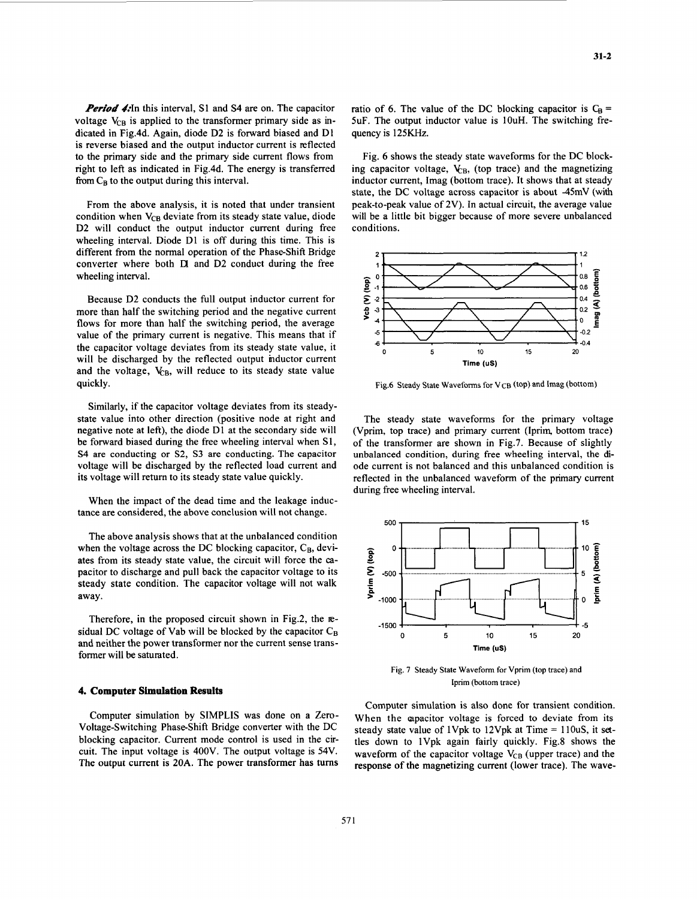<span id="page-4-0"></span>*Period* 4:In this interval, S1 and S4 are on. The capacitor voltage  $V_{CB}$  is applied to the transformer primary side as indicated in Fig.4d. Again, diode D2 is forward biased and D1 is reverse biased and the output inductor current is reflected to the primary side and the primary side current flows from right to left as indicated in Fig.4d. The energy is transferred from  $C_B$  to the output during this interval.

From the above analysis, it is noted that under transient condition when  $V_{CR}$  deviate from its steady state value, diode D<sub>2</sub> will conduct the output inductor current during free wheeling interval. Diode D1 is off during this time. This is different from the normal operation of the Phase-Shift Bridge converter where both **D** and D<sub>2</sub> conduct during the free wheeling interval.

Because D2 conducts the full output inductor current for more than half the switching period and the negative current flows for more than half the switching period, the average value of the primary current is negative. This means that if the capacitor voltage deviates from its steady state value, it will be discharged by the reflected output inductor current and the voltage,  $V_{CB}$ , will reduce to its steady state value quickly.

Similarly, if the capacitor voltage deviates from its steadystate value into other direction (positive node at right and negative note at left), the diode D1 at the secondary side will be forward biased during the free wheeling interval when S1, S4 are conducting or S2, S3 are conducting. The capacitor voltage will be discharged by the reflected load current and its voltage will return to its steady state value quickly.

When the impact of the dead time and the leakage inductance are considered, the above conclusion will not change.

The above analysis shows that at the unbalanced condition when the voltage across the DC blocking capacitor,  $C_B$ , deviates from its steady state value, the circuit will force the *ca*pacitor to discharge and pull back the capacitor voltage to its steady state condition. The capacitor voltage will not walk away.

Therefore, in the proposed circuit shown in Fig.2, the **E**sidual DC voltage of Vab will be blocked by the capacitor  $C_B$ and neither the power transformer nor the current sense transformer will be satumted.

## **4. Computer Simulation Results**

Computer simulation by SIMPLIS was done on a Zero-Voltage-Switching Phase-Shift Bridge converter with the DC blocking capacitor. Current mode control is used in the circuit. The input voltage is 400V. The output voltage is 54V. The output current is 20A. The power transformer has turns ratio of 6. The value of the DC blocking capacitor is  $C_R$  = 5uF. The output inductor value is 1OuH. The switching frequency is 125KHz.

Fig. 6 shows the steady state waveforms for the DC blocking capacitor voltage,  $V_{\text{CB}}$ , (top trace) and the magnetizing inductor current, Imag (bottom trace). It shows that at steady state, the DC voltage across capacitor is about -45mV (with peak-to-peak value of 2V). In actual circuit, the average value will be a little bit bigger because of more severe unbalanced conditions.



Fig.6 Steady State Waveforms for V<sub>CB</sub> (top) and Imag (bottom)

The steady state waveforms for the primary voltage (Vprim, top trace) and primary current (Iprim, bottom trace) of the transformer are shown in Fig.7. Because of slightly unbalanced condition, during free wheeling interval, the diode current is not balanced and this unbalanced condition is reflected in the unbalanced waveform of the primary current during free wheeling interval.



Fig. 7 Steady State Waveform for Vprim (top trace) and lprim (bottom trace)

Computer simulation is also done for transient condition. When the apacitor voltage is forced to deviate from its steady state value of 1Vpk to 12Vpk at Time =  $110uS$ , it settles down to lVpk again fairly quickly. Fig.8 shows the waveform of the capacitor voltage  $V_{CB}$  (upper trace) and the response of the magnetizing current (lower trace). The wave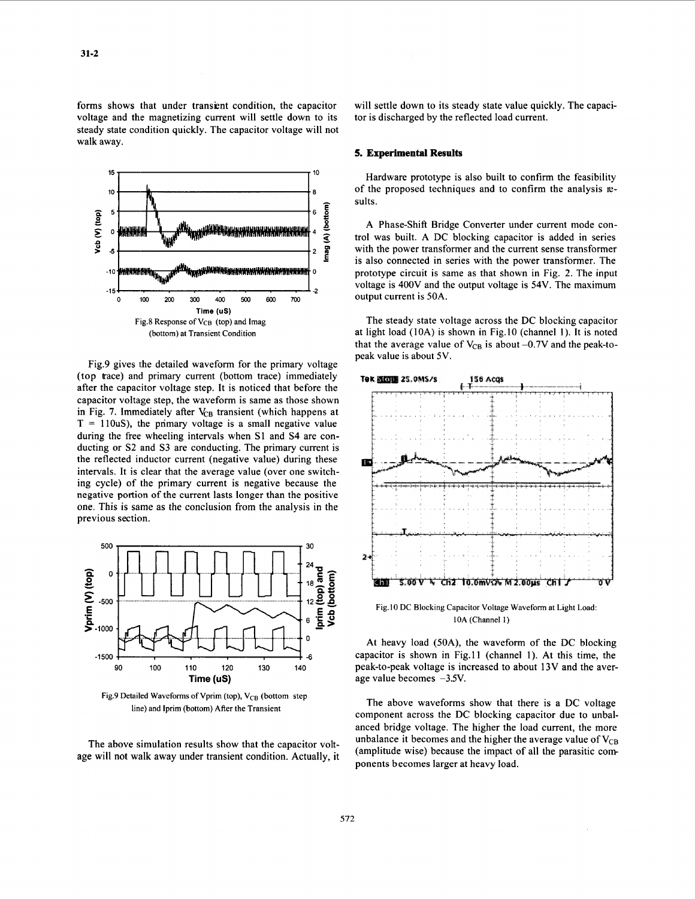forms shows that under transient condition, the capacitor voltage and the magnetizing current will settle down to its steady state condition quickly. The capacitor voltage will not walk away.



Fig.9 gives the detailed waveform for the primary voltage (top trace) and primary current (bottom trace) immediately after the capacitor voltage step. It is noticed that before the capacitor voltage step, the waveform is same as those shown in [Fig.](#page-4-0) 7. Immediately after V<sub>CB</sub> transient (which happens at  $T = 110uS$ , the primary voltage is a small negative value during the free wheeling intervals when S1 and S4 are conducting or S2 and S3 are conducting. The primary current is the reflected inductor current (negative value) during these intervals. It is clear that the average value (over one switching cycle) of the primary current is negative because the negative portion of the current lasts longer than the positive one. This is same as the conclusion from the analysis in the previous section.



Fig.9 Detailed Waveforms of Vprim (top), V<sub>CB</sub> (bottom step **line) and Iprim (bottom) After the Transient** 

The above simulation results show that the capacitor voltage will not walk away under transient condition. Actually, it will settle down to its steady state value quickly. The capacitor is discharged by the reflected load current.

## **5. Experimental Results**

Hardware prototype is also built to confirm the feasibility of the proposed techniques and to confirm the analysis **E**sults.

A Phase-Shift Bridge Converter under current mode control was built. A DC blocking capacitor is added in series with the power transformer and the current sense transformer is also connected in series with the power transformer. The prototype circuit is same as that shown in Fig. **2.** The input voltage is 400V and the output voltage is 54V. The maximum output current is 50A.

The steady state voltage across the DC blocking capacitor at light load (10A) is shown in Fig.10 (channel 1). It is noted that the average value of  $V_{CB}$  is about  $-0.7V$  and the peak-topeak value **is** about **5V.** 



**Fig.10 DC Blocking Capacitor Voltage Waveform at Light Load: 10A (Channel** 1)

At heavy load (50A), the waveform of the DC blocking capacitor is shown in Fig.11 (channel 1). At this time, the peak-to-peak voltage is increased to about 13V and the average value becomes -3.5V.

The above waveforms show that there is a DC voltage component across the DC blocking capacitor due to unbalanced bridge voltage. The higher the load current, the more unbalance it becomes and the higher the average value of  $V_{CB}$ (amplitude wise) because the impact of all the parasitic com ponents becomes larger at heavy load.